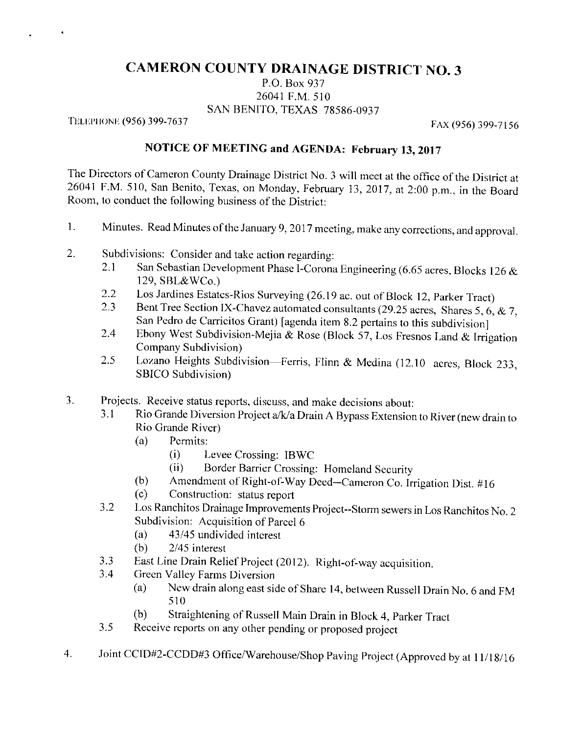## **CAMERON COUNTY DRAINAGE DISTRICT NO. 3**

P.O. Box 937 26041 F.M. 510 SAN BENITO, TEXAS 78586-0937

TELEPHONE (956) 399-7637

 $\ddot{\phantom{1}}$ 

FAX (956) 399-7156

## NOTICE OF MEETING and AGENDA: February 13, 2017

The Directors of Cameron County Drainage District No. 3 will meet at the office of the District at 26041 F.M. 510, San Benito, Texas, on Monday, February 13, 2017, at 2:00 p.m., in the Board Room, to conduct the following business of the District:

- Minutes. Read Minutes of the January 9, 2017 meeting, make any corrections, and approval.  $1.$
- $2.$ Subdivisions: Consider and take action regarding:
	- San Sebastian Development Phase I-Corona Engineering (6.65 acres, Blocks 126 & 2.1 129, SBL&WCo.)
	- Los Jardines Estates-Rios Surveying (26.19 ac. out of Block 12, Parker Tract)  $2.2$
	- Bent Tree Section IX-Chavez automated consultants (29.25 acres, Shares 5, 6, & 7,  $2.3$ San Pedro de Carricitos Grant) [agenda item 8.2 pertains to this subdivision]
	- Ebony West Subdivision-Mejia & Rose (Block 57, Los Fresnos Land & Irrigation  $2.4$ Company Subdivision)
	- Lozano Heights Subdivision-Ferris, Flinn & Medina (12.10 acres, Block 233, 2.5 SBICO Subdivision)
- Projects. Receive status reports, discuss, and make decisions about:  $3.$ 
	- Rio Grande Diversion Project a/k/a Drain A Bypass Extension to River (new drain to  $3.1$ Rio Grande River)
		- Permits:  $(a)$ 
			- $(i)$ Levee Crossing: IBWC
			- Border Barrier Crossing: Homeland Security  $(ii)$
		- Amendment of Right-of-Way Deed-Cameron Co. Irrigation Dist. #16  $(b)$
		- $(c)$ Construction: status report
	- Los Ranchitos Drainage Improvements Project-Storm sewers in Los Ranchitos No. 2  $3.2$ Subdivision: Acquisition of Parcel 6
		- 43/45 undivided interest  $(a)$
		- $(b)$ 2/45 interest
	- East Line Drain Relief Project (2012). Right-of-way acquisition.  $3.3$
	- Green Valley Farms Diversion 3.4
		- New drain along east side of Share 14, between Russell Drain No. 6 and FM  $(a)$ 510
		- Straightening of Russell Main Drain in Block 4, Parker Tract  $(b)$
	- Receive reports on any other pending or proposed project 3.5
- Joint CCID#2-CCDD#3 Office/Warehouse/Shop Paving Project (Approved by at 11/18/16  $\overline{4}$ .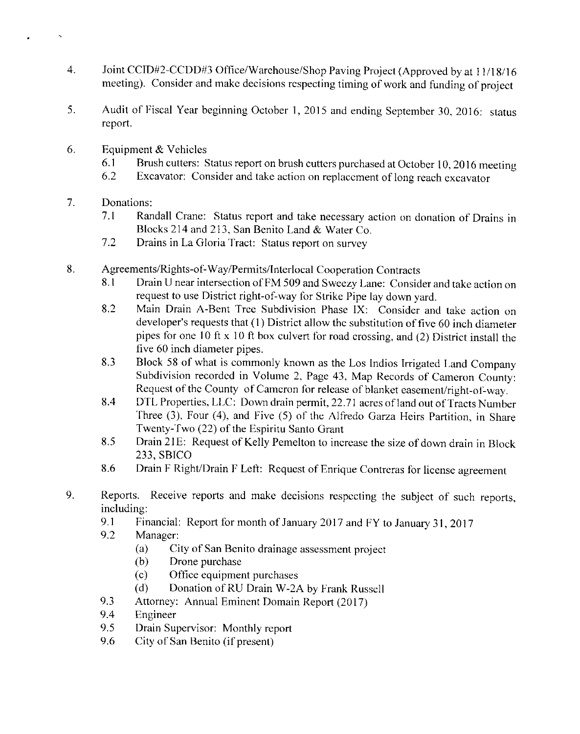- Joint CCID#2-CCDD#3 Office/Warehouse/Shop Paving Project (Approved by at 11/18/16 4. meeting). Consider and make decisions respecting timing of work and funding of project
- 5. Audit of Fiscal Year beginning October 1, 2015 and ending September 30, 2016: status report.
- Equipment & Vehicles 6.
	- Brush cutters: Status report on brush cutters purchased at October 10, 2016 meeting 6.1
	- 6.2 Excavator: Consider and take action on replacement of long reach excavator
- $7.$ Donations:
	- $7.1$ Randall Crane: Status report and take necessary action on donation of Drains in Blocks 214 and 213, San Benito Land & Water Co.
	- Drains in La Gloria Tract: Status report on survey  $7.2$
- 8. Agreements/Rights-of-Way/Permits/Interlocal Cooperation Contracts
	- Drain U near intersection of FM 509 and Sweezy Lane: Consider and take action on 8.1 request to use District right-of-way for Strike Pipe lay down vard.
	- Main Drain A-Bent Tree Subdivision Phase IX: Consider and take action on 8.2 developer's requests that (1) District allow the substitution of five 60 inch diameter pipes for one 10 ft x 10 ft box culvert for road crossing, and (2) District install the five 60 inch diameter pipes.
	- Block 58 of what is commonly known as the Los Indios Irrigated Land Company 8.3 Subdivision recorded in Volume 2, Page 43, Map Records of Cameron County: Request of the County of Cameron for release of blanket easement/right-of-way.
	- DTL Properties, LLC: Down drain permit, 22.71 acres of land out of Tracts Number 8.4 Three (3), Four (4), and Five (5) of the Alfredo Garza Heirs Partition, in Share Twenty-Two (22) of the Espiritu Santo Grant
	- Drain 21E: Request of Kelly Pemelton to increase the size of down drain in Block 8.5 233, SBICO
	- Drain F Right/Drain F Left: Request of Enrique Contreras for license agreement 8.6
- 9. Reports. Receive reports and make decisions respecting the subject of such reports, including:
	- 9.1 Financial: Report for month of January 2017 and FY to January 31, 2017
	- 9.2 Manager:
		- $(a)$ City of San Benito drainage assessment project
		- Drone purchase  $(b)$
		- Office equipment purchases  $(c)$
		- $(d)$ Donation of RU Drain W-2A by Frank Russell
	- 9.3 Attorney: Annual Eminent Domain Report (2017)
	- 9.4 Engineer
	- 9.5 Drain Supervisor: Monthly report
	- 9.6 City of San Benito (if present)